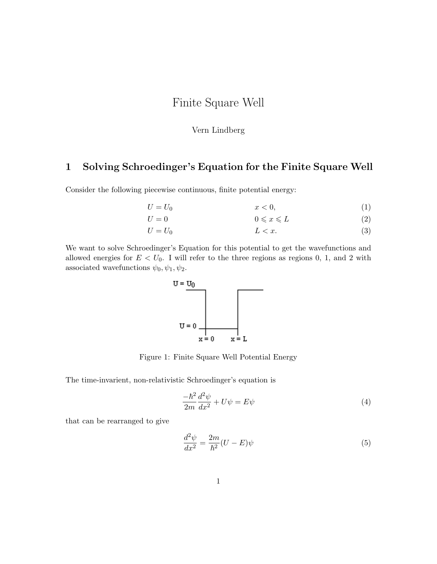## Finite Square Well

## Vern Lindberg

## 1 Solving Schroedinger's Equation for the Finite Square Well

Consider the following piecewise continuous, finite potential energy:

$$
U = U_0 \qquad \qquad x < 0,\tag{1}
$$

$$
U = 0 \qquad \qquad 0 \leqslant x \leqslant L \tag{2}
$$

$$
U = U_0 \qquad \qquad L < x. \tag{3}
$$

We want to solve Schroedinger's Equation for this potential to get the wavefunctions and allowed energies for  $E < U_0$ . I will refer to the three regions as regions 0, 1, and 2 with associated wavefunctions  $\psi_0, \psi_1, \psi_2$ .



Figure 1: Finite Square Well Potential Energy

The time-invarient, non-relativistic Schroedinger's equation is

$$
\frac{-\hbar^2}{2m}\frac{d^2\psi}{dx^2} + U\psi = E\psi\tag{4}
$$

that can be rearranged to give

$$
\frac{d^2\psi}{dx^2} = \frac{2m}{\hbar^2}(U - E)\psi\tag{5}
$$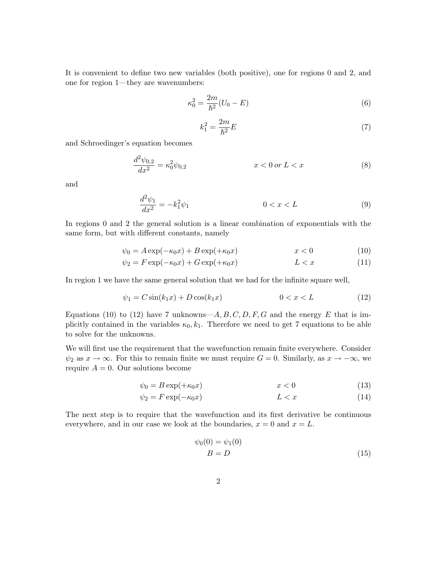It is convenient to define two new variables (both positive), one for regions 0 and 2, and one for region 1—they are wavenumbers:

$$
\kappa_0^2 = \frac{2m}{\hbar^2} (U_0 - E) \tag{6}
$$

$$
k_1^2 = \frac{2m}{\hbar^2}E\tag{7}
$$

and Schroedinger's equation becomes

$$
\frac{d^2\psi_{0,2}}{dx^2} = \kappa_0^2 \psi_{0,2} \qquad x < 0 \text{ or } L < x \tag{8}
$$

and

$$
\frac{d^2\psi_1}{dx^2} = -k_1^2\psi_1 \qquad \qquad 0 < x < L \tag{9}
$$

In regions 0 and 2 the general solution is a linear combination of exponentials with the same form, but with different constants, namely

$$
\psi_0 = A \exp(-\kappa_0 x) + B \exp(+\kappa_0 x) \qquad x < 0 \tag{10}
$$

$$
\psi_2 = F \exp(-\kappa_0 x) + G \exp(+\kappa_0 x) \qquad L < x \tag{11}
$$

In region 1 we have the same general solution that we had for the infinite square well,

$$
\psi_1 = C \sin(k_1 x) + D \cos(k_1 x) \qquad 0 < x < L \tag{12}
$$

Equations (10) to (12) have 7 unknowns— $A, B, C, D, F, G$  and the energy E that is implicitly contained in the variables  $\kappa_0, k_1$ . Therefore we need to get 7 equations to be able to solve for the unknowns.

We will first use the requirement that the wavefunction remain finite everywhere. Consider  $\psi_2$  as  $x \to \infty$ . For this to remain finite we must require  $G = 0$ . Similarly, as  $x \to -\infty$ , we require  $A = 0$ . Our solutions become

$$
\psi_0 = B \exp(+\kappa_0 x) \tag{13}
$$

$$
\psi_2 = F \exp(-\kappa_0 x) \tag{14}
$$

The next step is to require that the wavefunction and its first derivative be continuous everywhere, and in our case we look at the boundaries,  $x = 0$  and  $x = L$ .

$$
\psi_0(0) = \psi_1(0)
$$
  

$$
B = D \tag{15}
$$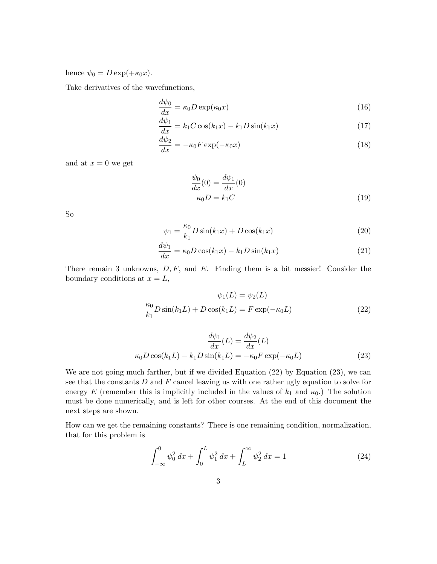hence  $\psi_0 = D \exp(+\kappa_0 x)$ .

Take derivatives of the wavefunctions,

$$
\frac{d\psi_0}{dx} = \kappa_0 D \exp(\kappa_0 x) \tag{16}
$$

$$
\frac{d\psi_1}{dx} = k_1 C \cos(k_1 x) - k_1 D \sin(k_1 x) \tag{17}
$$

$$
\frac{d\psi_2}{dx} = -\kappa_0 F \exp(-\kappa_0 x) \tag{18}
$$

and at  $x = 0$  we get

$$
\frac{\psi_0}{dx}(0) = \frac{d\psi_1}{dx}(0)
$$
  
\n
$$
\kappa_0 D = k_1 C
$$
\n(19)

So

$$
\psi_1 = \frac{\kappa_0}{k_1} D \sin(k_1 x) + D \cos(k_1 x) \tag{20}
$$

$$
\frac{d\psi_1}{dx} = \kappa_0 D \cos(k_1 x) - k_1 D \sin(k_1 x) \tag{21}
$$

There remain 3 unknowns,  $D, F$ , and E. Finding them is a bit messier! Consider the boundary conditions at  $x = L$ ,

$$
\psi_1(L) = \psi_2(L)
$$
  
\n
$$
\frac{\kappa_0}{k_1} D \sin(k_1 L) + D \cos(k_1 L) = F \exp(-\kappa_0 L)
$$
\n(22)

$$
\frac{d\psi_1}{dx}(L) = \frac{d\psi_2}{dx}(L)
$$

$$
\kappa_0 D \cos(k_1 L) - k_1 D \sin(k_1 L) = -\kappa_0 F \exp(-\kappa_0 L) \tag{23}
$$

We are not going much farther, but if we divided Equation (22) by Equation (23), we can see that the constants  $D$  and  $F$  cancel leaving us with one rather ugly equation to solve for energy E (remember this is implicitly included in the values of  $k_1$  and  $\kappa_0$ .) The solution must be done numerically, and is left for other courses. At the end of this document the next steps are shown.

How can we get the remaining constants? There is one remaining condition, normalization, that for this problem is

$$
\int_{-\infty}^{0} \psi_0^2 dx + \int_{0}^{L} \psi_1^2 dx + \int_{L}^{\infty} \psi_2^2 dx = 1
$$
 (24)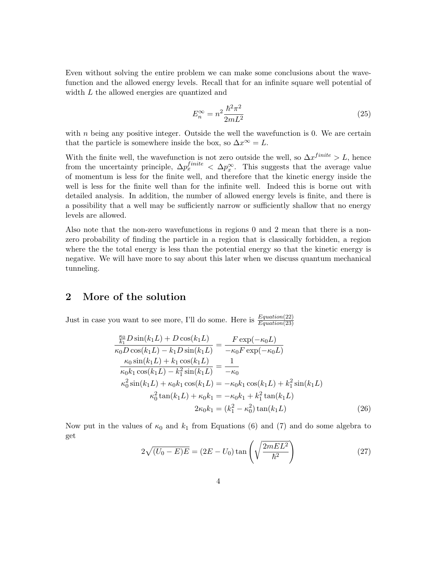Even without solving the entire problem we can make some conclusions about the wavefunction and the allowed energy levels. Recall that for an infinite square well potential of width L the allowed energies are quantized and

$$
E_n^{\infty} = n^2 \frac{\hbar^2 \pi^2}{2mL^2}
$$
\n<sup>(25)</sup>

with  $n$  being any positive integer. Outside the well the wavefunction is 0. We are certain that the particle is somewhere inside the box, so  $\Delta x^{\infty} = L$ .

With the finite well, the wavefunction is not zero outside the well, so  $\Delta x^{finite} > L$ , hence from the uncertainty principle,  $\Delta p_x^{finite} < \Delta p_x^{\infty}$ . This suggests that the average value of momentum is less for the finite well, and therefore that the kinetic energy inside the well is less for the finite well than for the infinite well. Indeed this is borne out with detailed analysis. In addition, the number of allowed energy levels is finite, and there is a possibility that a well may be sufficiently narrow or sufficiently shallow that no energy levels are allowed.

Also note that the non-zero wavefunctions in regions 0 and 2 mean that there is a nonzero probability of finding the particle in a region that is classically forbidden, a region where the the total energy is less than the potential energy so that the kinetic energy is negative. We will have more to say about this later when we discuss quantum mechanical tunneling.

## 2 More of the solution

Just in case you want to see more, I'll do some. Here is  $\frac{Equation(22)}{Equation(23)}$ 

$$
\frac{\frac{\kappa_0}{k_1}D\sin(k_1L) + D\cos(k_1L)}{\kappa_0 D\cos(k_1L) - k_1D\sin(k_1L)} = \frac{F\exp(-\kappa_0L)}{-\kappa_0F\exp(-\kappa_0L)}
$$
\n
$$
\frac{\kappa_0\sin(k_1L) + k_1\cos(k_1L)}{\kappa_0k_1\cos(k_1L) - k_1^2\sin(k_1L)} = \frac{1}{-\kappa_0}
$$
\n
$$
\kappa_0^2\sin(k_1L) + \kappa_0k_1\cos(k_1L) = -\kappa_0k_1\cos(k_1L) + k_1^2\sin(k_1L)
$$
\n
$$
\kappa_0^2\tan(k_1L) + \kappa_0k_1 = -\kappa_0k_1 + k_1^2\tan(k_1L)
$$
\n
$$
2\kappa_0k_1 = (k_1^2 - \kappa_0^2)\tan(k_1L) \tag{26}
$$

Now put in the values of  $\kappa_0$  and  $k_1$  from Equations (6) and (7) and do some algebra to get

$$
2\sqrt{(U_0 - E)E} = (2E - U_0)\tan\left(\sqrt{\frac{2mEL^2}{\hbar^2}}\right)
$$
\n(27)